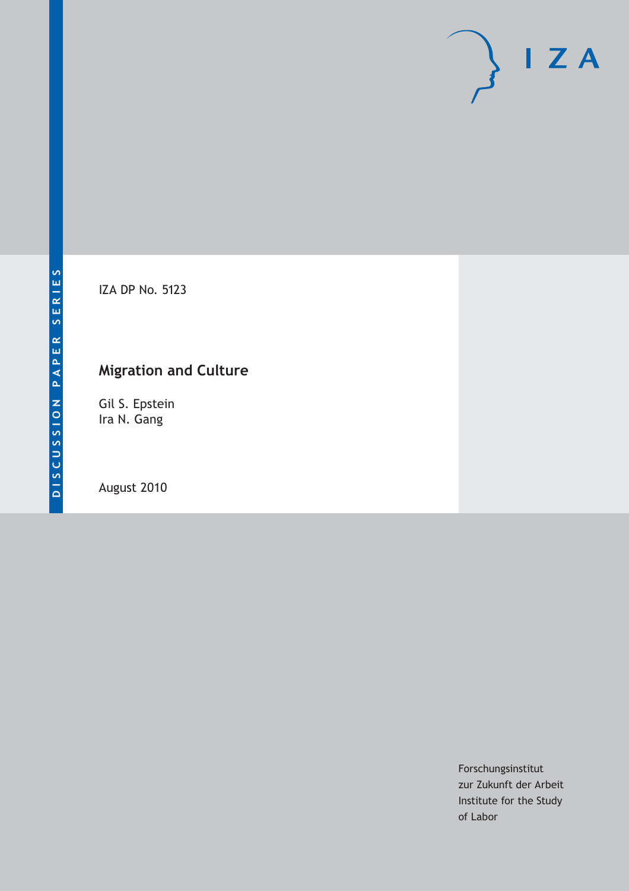

IZA DP No. 5123

## **Migration and Culture**

Gil S. Epstein Ira N. Gang

August 2010

Forschungsinstitut zur Zukunft der Arbeit Institute for the Study of Labor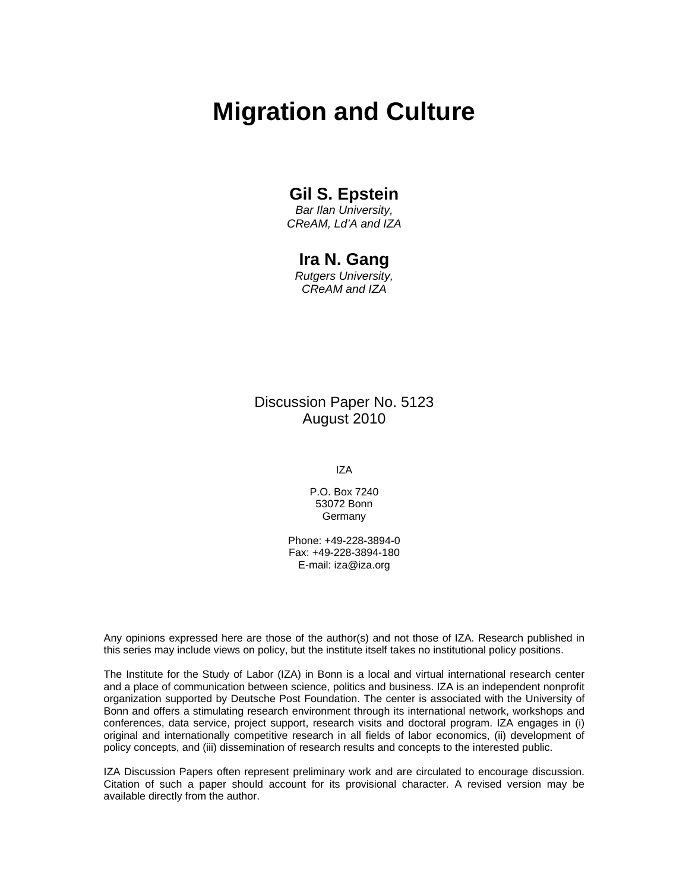# **Migration and Culture**

## **Gil S. Epstein**

*Bar Ilan University, CReAM, Ld'A and IZA* 

### **Ira N. Gang**

*Rutgers University, CReAM and IZA* 

Discussion Paper No. 5123 August 2010

IZA

P.O. Box 7240 53072 Bonn Germany

Phone: +49-228-3894-0 Fax: +49-228-3894-180 E-mail: iza@iza.org

Any opinions expressed here are those of the author(s) and not those of IZA. Research published in this series may include views on policy, but the institute itself takes no institutional policy positions.

The Institute for the Study of Labor (IZA) in Bonn is a local and virtual international research center and a place of communication between science, politics and business. IZA is an independent nonprofit organization supported by Deutsche Post Foundation. The center is associated with the University of Bonn and offers a stimulating research environment through its international network, workshops and conferences, data service, project support, research visits and doctoral program. IZA engages in (i) original and internationally competitive research in all fields of labor economics, (ii) development of policy concepts, and (iii) dissemination of research results and concepts to the interested public.

IZA Discussion Papers often represent preliminary work and are circulated to encourage discussion. Citation of such a paper should account for its provisional character. A revised version may be available directly from the author.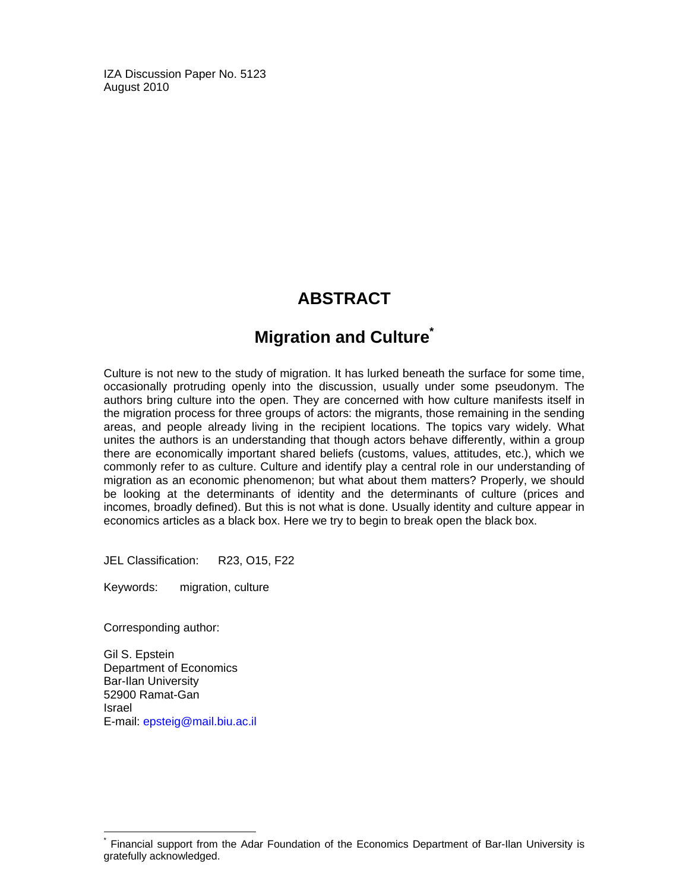IZA Discussion Paper No. 5123 August 2010

## **ABSTRACT**

## **Migration and Culture\***

Culture is not new to the study of migration. It has lurked beneath the surface for some time, occasionally protruding openly into the discussion, usually under some pseudonym. The authors bring culture into the open. They are concerned with how culture manifests itself in the migration process for three groups of actors: the migrants, those remaining in the sending areas, and people already living in the recipient locations. The topics vary widely. What unites the authors is an understanding that though actors behave differently, within a group there are economically important shared beliefs (customs, values, attitudes, etc.), which we commonly refer to as culture. Culture and identify play a central role in our understanding of migration as an economic phenomenon; but what about them matters? Properly, we should be looking at the determinants of identity and the determinants of culture (prices and incomes, broadly defined). But this is not what is done. Usually identity and culture appear in economics articles as a black box. Here we try to begin to break open the black box.

JEL Classification: R23, O15, F22

Keywords: migration, culture

Corresponding author:

-

Gil S. Epstein Department of Economics Bar-Ilan University 52900 Ramat-Gan Israel E-mail: epsteig@mail.biu.ac.il

<sup>\*</sup> Financial support from the Adar Foundation of the Economics Department of Bar-Ilan University is gratefully acknowledged.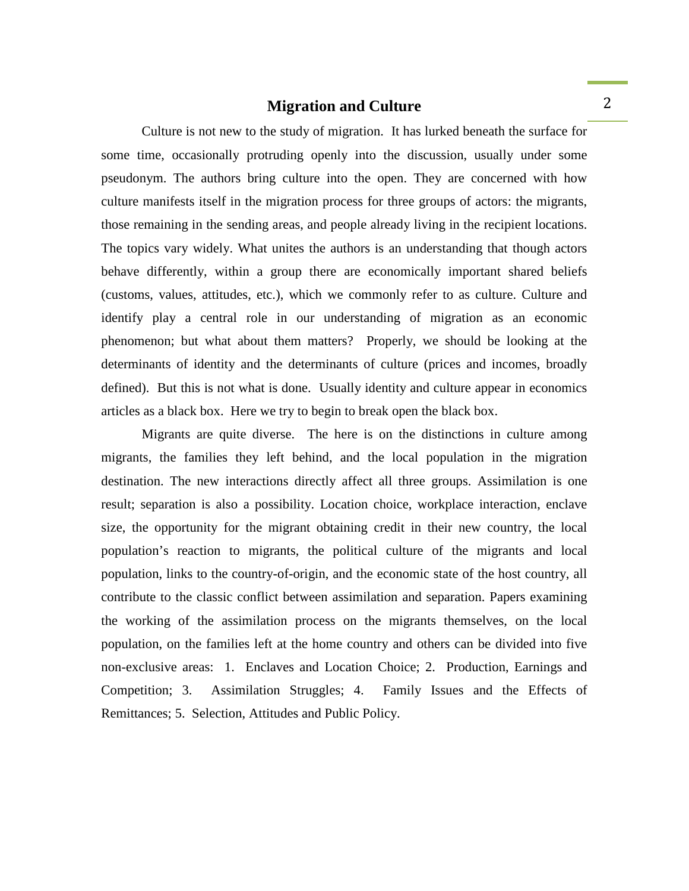### **Migration and Culture** 2

Culture is not new to the study of migration. It has lurked beneath the surface for some time, occasionally protruding openly into the discussion, usually under some pseudonym. The authors bring culture into the open. They are concerned with how culture manifests itself in the migration process for three groups of actors: the migrants, those remaining in the sending areas, and people already living in the recipient locations. The topics vary widely. What unites the authors is an understanding that though actors behave differently, within a group there are economically important shared beliefs (customs, values, attitudes, etc.), which we commonly refer to as culture. Culture and identify play a central role in our understanding of migration as an economic phenomenon; but what about them matters? Properly, we should be looking at the determinants of identity and the determinants of culture (prices and incomes, broadly defined). But this is not what is done. Usually identity and culture appear in economics articles as a black box. Here we try to begin to break open the black box.

Migrants are quite diverse. The here is on the distinctions in culture among migrants, the families they left behind, and the local population in the migration destination. The new interactions directly affect all three groups. Assimilation is one result; separation is also a possibility. Location choice, workplace interaction, enclave size, the opportunity for the migrant obtaining credit in their new country, the local population's reaction to migrants, the political culture of the migrants and local population, links to the country-of-origin, and the economic state of the host country, all contribute to the classic conflict between assimilation and separation. Papers examining the working of the assimilation process on the migrants themselves, on the local population, on the families left at the home country and others can be divided into five non-exclusive areas: 1. Enclaves and Location Choice; 2. Production, Earnings and Competition; 3. Assimilation Struggles; 4. Family Issues and the Effects of Remittances; 5. Selection, Attitudes and Public Policy.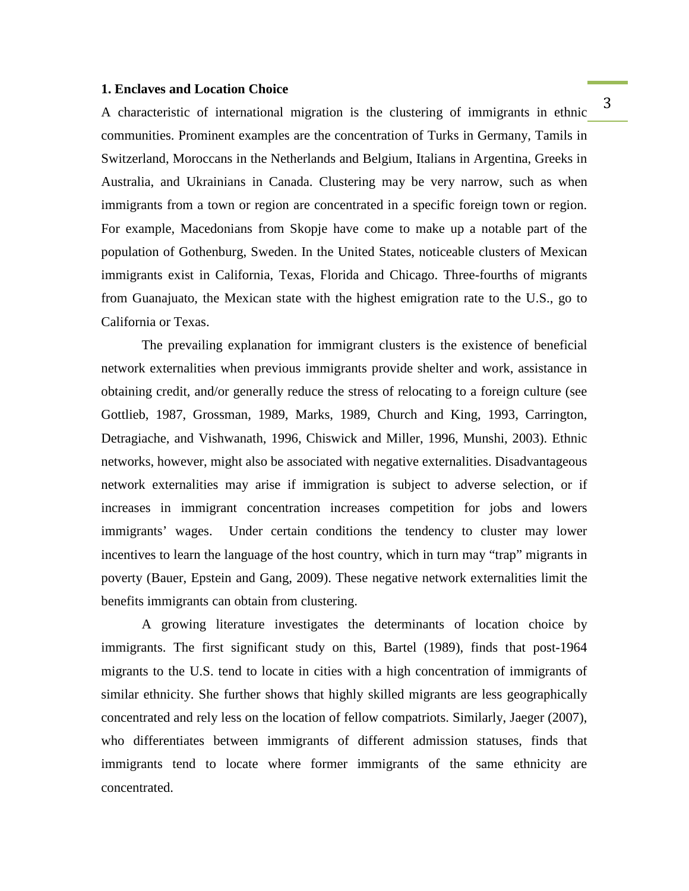#### **1. Enclaves and Location Choice**

A characteristic of international migration is the clustering of immigrants in ethnic communities. Prominent examples are the concentration of Turks in Germany, Tamils in Switzerland, Moroccans in the Netherlands and Belgium, Italians in Argentina, Greeks in Australia, and Ukrainians in Canada. Clustering may be very narrow, such as when immigrants from a town or region are concentrated in a specific foreign town or region. For example, Macedonians from Skopje have come to make up a notable part of the population of Gothenburg, Sweden. In the United States, noticeable clusters of Mexican immigrants exist in California, Texas, Florida and Chicago. Three-fourths of migrants from Guanajuato, the Mexican state with the highest emigration rate to the U.S., go to California or Texas.

The prevailing explanation for immigrant clusters is the existence of beneficial network externalities when previous immigrants provide shelter and work, assistance in obtaining credit, and/or generally reduce the stress of relocating to a foreign culture (see Gottlieb, 1987, Grossman, 1989, Marks, 1989, Church and King, 1993, Carrington, Detragiache, and Vishwanath, 1996, Chiswick and Miller, 1996, Munshi, 2003). Ethnic networks, however, might also be associated with negative externalities. Disadvantageous network externalities may arise if immigration is subject to adverse selection, or if increases in immigrant concentration increases competition for jobs and lowers immigrants' wages. Under certain conditions the tendency to cluster may lower incentives to learn the language of the host country, which in turn may "trap" migrants in poverty (Bauer, Epstein and Gang, 2009). These negative network externalities limit the benefits immigrants can obtain from clustering.

A growing literature investigates the determinants of location choice by immigrants. The first significant study on this, Bartel (1989), finds that post-1964 migrants to the U.S. tend to locate in cities with a high concentration of immigrants of similar ethnicity. She further shows that highly skilled migrants are less geographically concentrated and rely less on the location of fellow compatriots. Similarly, Jaeger (2007), who differentiates between immigrants of different admission statuses, finds that immigrants tend to locate where former immigrants of the same ethnicity are concentrated.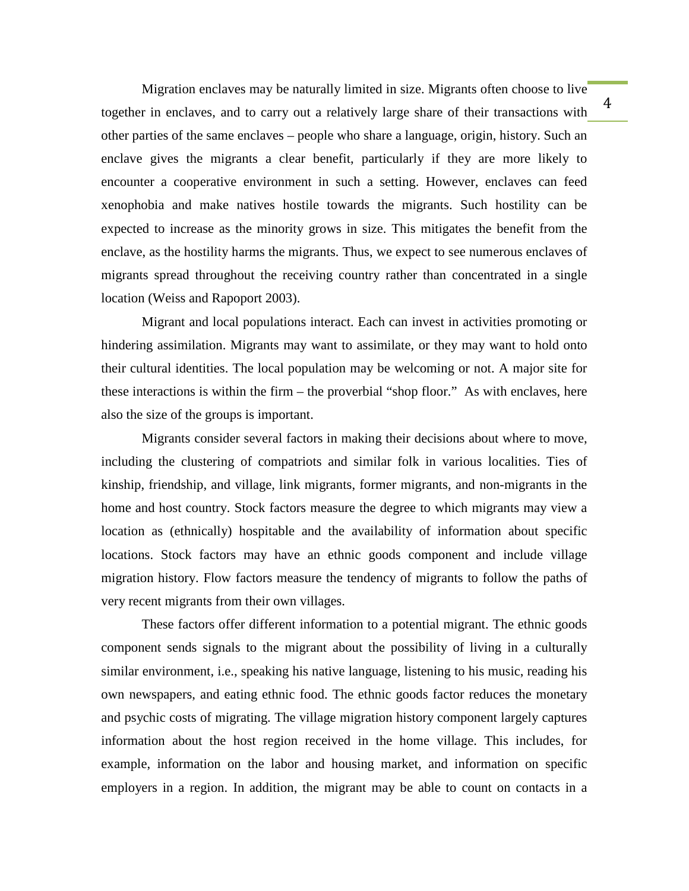Migration enclaves may be naturally limited in size. Migrants often choose to live together in enclaves, and to carry out a relatively large share of their transactions with other parties of the same enclaves – people who share a language, origin, history. Such an enclave gives the migrants a clear benefit, particularly if they are more likely to encounter a cooperative environment in such a setting. However, enclaves can feed xenophobia and make natives hostile towards the migrants. Such hostility can be expected to increase as the minority grows in size. This mitigates the benefit from the enclave, as the hostility harms the migrants. Thus, we expect to see numerous enclaves of migrants spread throughout the receiving country rather than concentrated in a single location (Weiss and Rapoport 2003).

Migrant and local populations interact. Each can invest in activities promoting or hindering assimilation. Migrants may want to assimilate, or they may want to hold onto their cultural identities. The local population may be welcoming or not. A major site for these interactions is within the firm – the proverbial "shop floor." As with enclaves, here also the size of the groups is important.

Migrants consider several factors in making their decisions about where to move, including the clustering of compatriots and similar folk in various localities. Ties of kinship, friendship, and village, link migrants, former migrants, and non-migrants in the home and host country. Stock factors measure the degree to which migrants may view a location as (ethnically) hospitable and the availability of information about specific locations. Stock factors may have an ethnic goods component and include village migration history. Flow factors measure the tendency of migrants to follow the paths of very recent migrants from their own villages.

These factors offer different information to a potential migrant. The ethnic goods component sends signals to the migrant about the possibility of living in a culturally similar environment, i.e., speaking his native language, listening to his music, reading his own newspapers, and eating ethnic food. The ethnic goods factor reduces the monetary and psychic costs of migrating. The village migration history component largely captures information about the host region received in the home village. This includes, for example, information on the labor and housing market, and information on specific employers in a region. In addition, the migrant may be able to count on contacts in a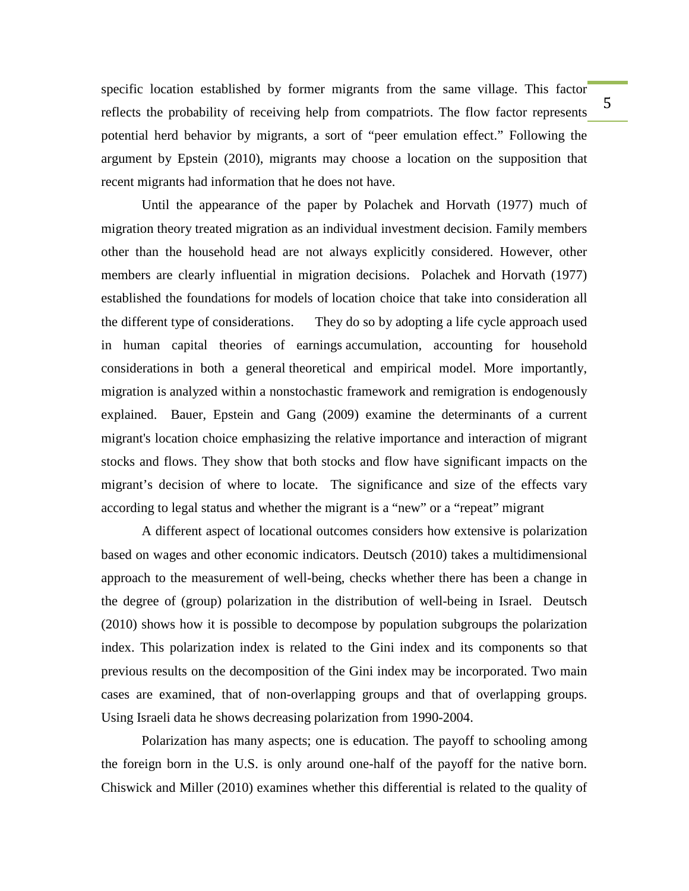specific location established by former migrants from the same village. This factor reflects the probability of receiving help from compatriots. The flow factor represents potential herd behavior by migrants, a sort of "peer emulation effect." Following the argument by Epstein (2010), migrants may choose a location on the supposition that recent migrants had information that he does not have.

Until the appearance of the paper by Polachek and Horvath (1977) much of migration theory treated migration as an individual investment decision. Family members other than the household head are not always explicitly considered. However, other members are clearly influential in migration decisions. Polachek and Horvath (1977) established the foundations for models of location choice that take into consideration all the different type of considerations. They do so by adopting a life cycle approach used in human capital theories of earnings accumulation, accounting for household considerations in both a general theoretical and empirical model. More importantly, migration is analyzed within a nonstochastic framework and remigration is endogenously explained. Bauer, Epstein and Gang (2009) examine the determinants of a current migrant's location choice emphasizing the relative importance and interaction of migrant stocks and flows. They show that both stocks and flow have significant impacts on the migrant's decision of where to locate. The significance and size of the effects vary according to legal status and whether the migrant is a "new" or a "repeat" migrant

 A different aspect of locational outcomes considers how extensive is polarization based on wages and other economic indicators. Deutsch (2010) takes a multidimensional approach to the measurement of well-being, checks whether there has been a change in the degree of (group) polarization in the distribution of well-being in Israel. Deutsch (2010) shows how it is possible to decompose by population subgroups the polarization index. This polarization index is related to the Gini index and its components so that previous results on the decomposition of the Gini index may be incorporated. Two main cases are examined, that of non-overlapping groups and that of overlapping groups. Using Israeli data he shows decreasing polarization from 1990-2004.

Polarization has many aspects; one is education. The payoff to schooling among the foreign born in the U.S. is only around one-half of the payoff for the native born. Chiswick and Miller (2010) examines whether this differential is related to the quality of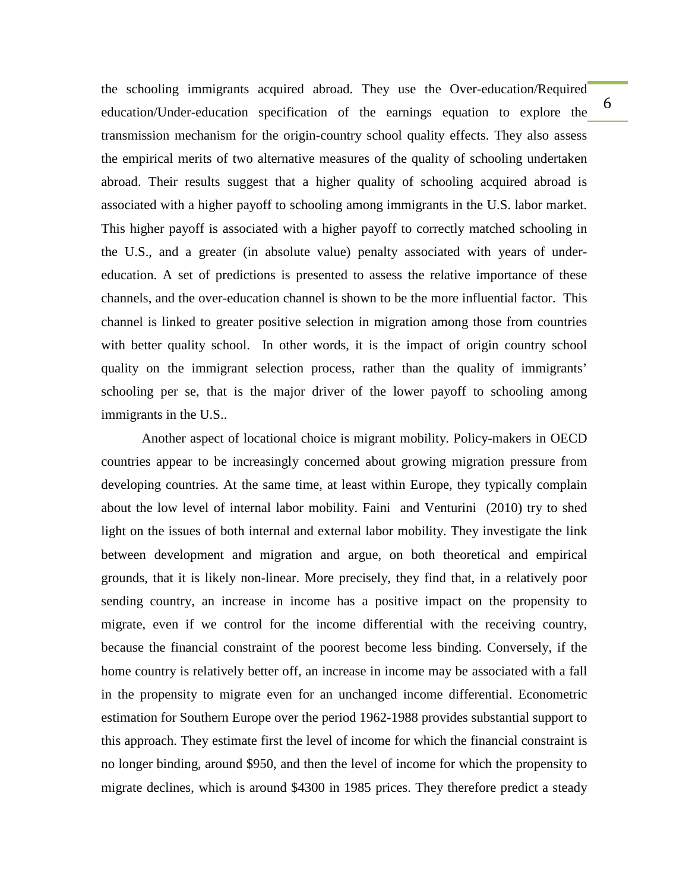the schooling immigrants acquired abroad. They use the Over-education/Required education/Under-education specification of the earnings equation to explore the transmission mechanism for the origin-country school quality effects. They also assess the empirical merits of two alternative measures of the quality of schooling undertaken abroad. Their results suggest that a higher quality of schooling acquired abroad is associated with a higher payoff to schooling among immigrants in the U.S. labor market. This higher payoff is associated with a higher payoff to correctly matched schooling in the U.S., and a greater (in absolute value) penalty associated with years of undereducation. A set of predictions is presented to assess the relative importance of these channels, and the over-education channel is shown to be the more influential factor. This channel is linked to greater positive selection in migration among those from countries with better quality school. In other words, it is the impact of origin country school quality on the immigrant selection process, rather than the quality of immigrants' schooling per se, that is the major driver of the lower payoff to schooling among immigrants in the U.S..

Another aspect of locational choice is migrant mobility. Policy-makers in OECD countries appear to be increasingly concerned about growing migration pressure from developing countries. At the same time, at least within Europe, they typically complain about the low level of internal labor mobility. Faini and Venturini (2010) try to shed light on the issues of both internal and external labor mobility. They investigate the link between development and migration and argue, on both theoretical and empirical grounds, that it is likely non-linear. More precisely, they find that, in a relatively poor sending country, an increase in income has a positive impact on the propensity to migrate, even if we control for the income differential with the receiving country, because the financial constraint of the poorest become less binding. Conversely, if the home country is relatively better off, an increase in income may be associated with a fall in the propensity to migrate even for an unchanged income differential. Econometric estimation for Southern Europe over the period 1962-1988 provides substantial support to this approach. They estimate first the level of income for which the financial constraint is no longer binding, around \$950, and then the level of income for which the propensity to migrate declines, which is around \$4300 in 1985 prices. They therefore predict a steady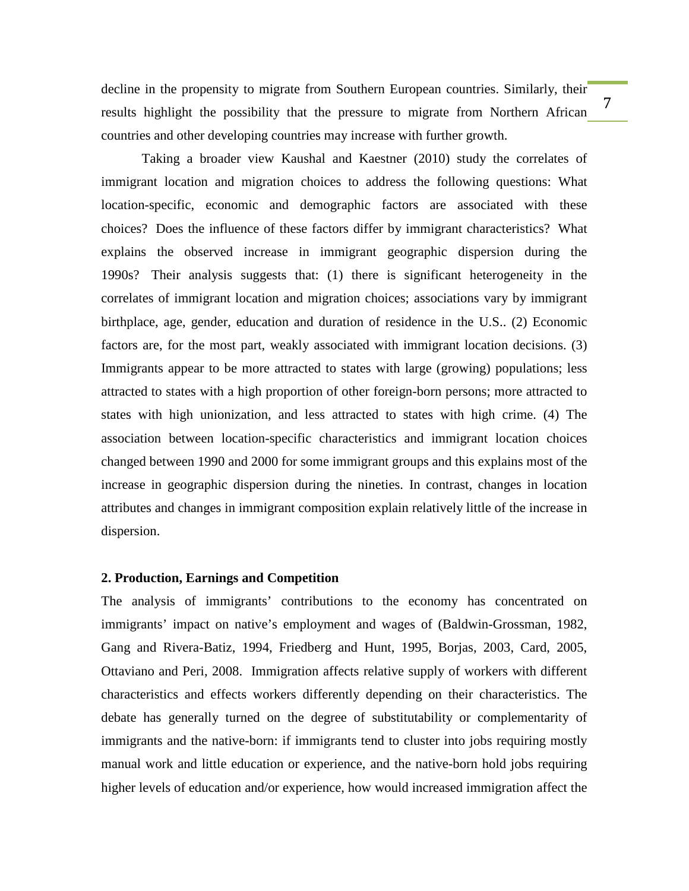Taking a broader view Kaushal and Kaestner (2010) study the correlates of immigrant location and migration choices to address the following questions: What location-specific, economic and demographic factors are associated with these choices? Does the influence of these factors differ by immigrant characteristics? What explains the observed increase in immigrant geographic dispersion during the 1990s? Their analysis suggests that: (1) there is significant heterogeneity in the correlates of immigrant location and migration choices; associations vary by immigrant birthplace, age, gender, education and duration of residence in the U.S.. (2) Economic factors are, for the most part, weakly associated with immigrant location decisions. (3) Immigrants appear to be more attracted to states with large (growing) populations; less attracted to states with a high proportion of other foreign-born persons; more attracted to states with high unionization, and less attracted to states with high crime. (4) The association between location-specific characteristics and immigrant location choices changed between 1990 and 2000 for some immigrant groups and this explains most of the increase in geographic dispersion during the nineties. In contrast, changes in location attributes and changes in immigrant composition explain relatively little of the increase in dispersion.

#### **2. Production, Earnings and Competition**

The analysis of immigrants' contributions to the economy has concentrated on immigrants' impact on native's employment and wages of (Baldwin-Grossman, 1982, Gang and Rivera-Batiz, 1994, Friedberg and Hunt, 1995, Borjas, 2003, Card, 2005, Ottaviano and Peri, 2008. Immigration affects relative supply of workers with different characteristics and effects workers differently depending on their characteristics. The debate has generally turned on the degree of substitutability or complementarity of immigrants and the native-born: if immigrants tend to cluster into jobs requiring mostly manual work and little education or experience, and the native-born hold jobs requiring higher levels of education and/or experience, how would increased immigration affect the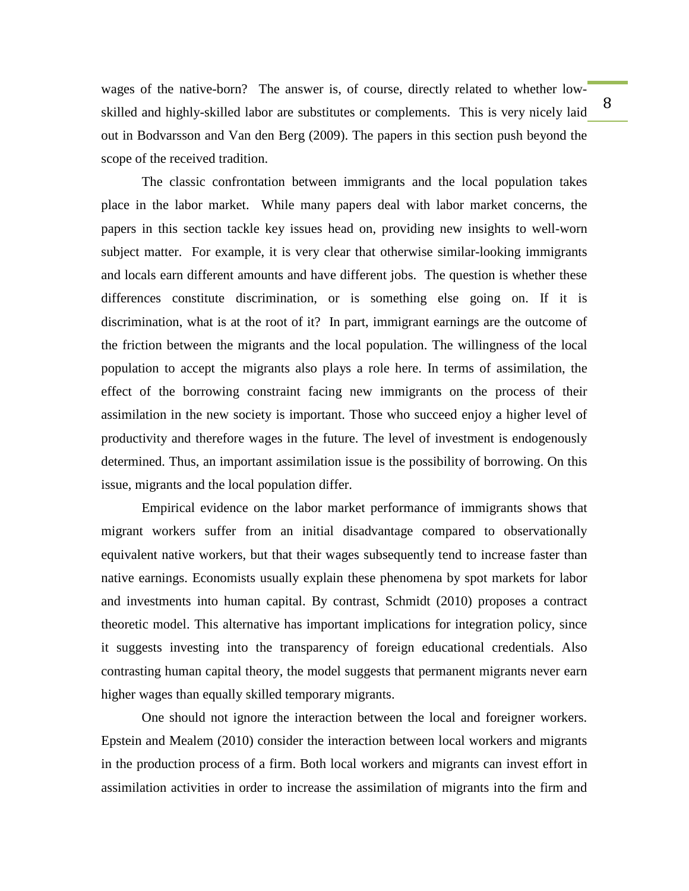wages of the native-born? The answer is, of course, directly related to whether lowskilled and highly-skilled labor are substitutes or complements. This is very nicely laid out in Bodvarsson and Van den Berg (2009). The papers in this section push beyond the scope of the received tradition.

 The classic confrontation between immigrants and the local population takes place in the labor market. While many papers deal with labor market concerns, the papers in this section tackle key issues head on, providing new insights to well-worn subject matter. For example, it is very clear that otherwise similar-looking immigrants and locals earn different amounts and have different jobs. The question is whether these differences constitute discrimination, or is something else going on. If it is discrimination, what is at the root of it? In part, immigrant earnings are the outcome of the friction between the migrants and the local population. The willingness of the local population to accept the migrants also plays a role here. In terms of assimilation, the effect of the borrowing constraint facing new immigrants on the process of their assimilation in the new society is important. Those who succeed enjoy a higher level of productivity and therefore wages in the future. The level of investment is endogenously determined. Thus, an important assimilation issue is the possibility of borrowing. On this issue, migrants and the local population differ.

Empirical evidence on the labor market performance of immigrants shows that migrant workers suffer from an initial disadvantage compared to observationally equivalent native workers, but that their wages subsequently tend to increase faster than native earnings. Economists usually explain these phenomena by spot markets for labor and investments into human capital. By contrast, Schmidt (2010) proposes a contract theoretic model. This alternative has important implications for integration policy, since it suggests investing into the transparency of foreign educational credentials. Also contrasting human capital theory, the model suggests that permanent migrants never earn higher wages than equally skilled temporary migrants.

One should not ignore the interaction between the local and foreigner workers. Epstein and Mealem (2010) consider the interaction between local workers and migrants in the production process of a firm. Both local workers and migrants can invest effort in assimilation activities in order to increase the assimilation of migrants into the firm and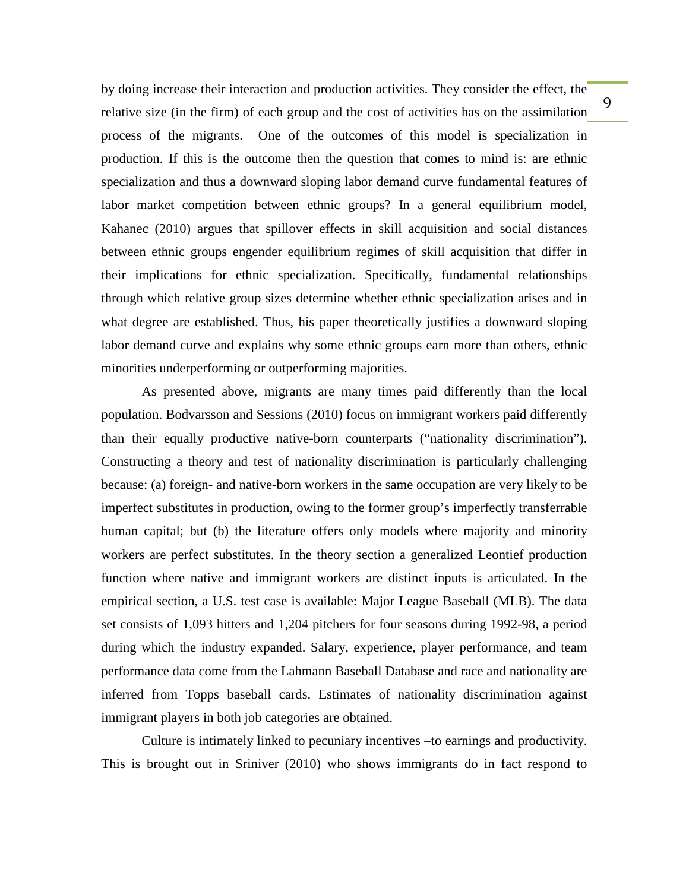by doing increase their interaction and production activities. They consider the effect, the relative size (in the firm) of each group and the cost of activities has on the assimilation process of the migrants. One of the outcomes of this model is specialization in production. If this is the outcome then the question that comes to mind is: are ethnic specialization and thus a downward sloping labor demand curve fundamental features of labor market competition between ethnic groups? In a general equilibrium model, Kahanec (2010) argues that spillover effects in skill acquisition and social distances between ethnic groups engender equilibrium regimes of skill acquisition that differ in their implications for ethnic specialization. Specifically, fundamental relationships through which relative group sizes determine whether ethnic specialization arises and in what degree are established. Thus, his paper theoretically justifies a downward sloping labor demand curve and explains why some ethnic groups earn more than others, ethnic minorities underperforming or outperforming majorities.

 As presented above, migrants are many times paid differently than the local population. Bodvarsson and Sessions (2010) focus on immigrant workers paid differently than their equally productive native-born counterparts ("nationality discrimination"). Constructing a theory and test of nationality discrimination is particularly challenging because: (a) foreign- and native-born workers in the same occupation are very likely to be imperfect substitutes in production, owing to the former group's imperfectly transferrable human capital; but (b) the literature offers only models where majority and minority workers are perfect substitutes. In the theory section a generalized Leontief production function where native and immigrant workers are distinct inputs is articulated. In the empirical section, a U.S. test case is available: Major League Baseball (MLB). The data set consists of 1,093 hitters and 1,204 pitchers for four seasons during 1992-98, a period during which the industry expanded. Salary, experience, player performance, and team performance data come from the Lahmann Baseball Database and race and nationality are inferred from Topps baseball cards. Estimates of nationality discrimination against immigrant players in both job categories are obtained.

Culture is intimately linked to pecuniary incentives –to earnings and productivity. This is brought out in Sriniver (2010) who shows immigrants do in fact respond to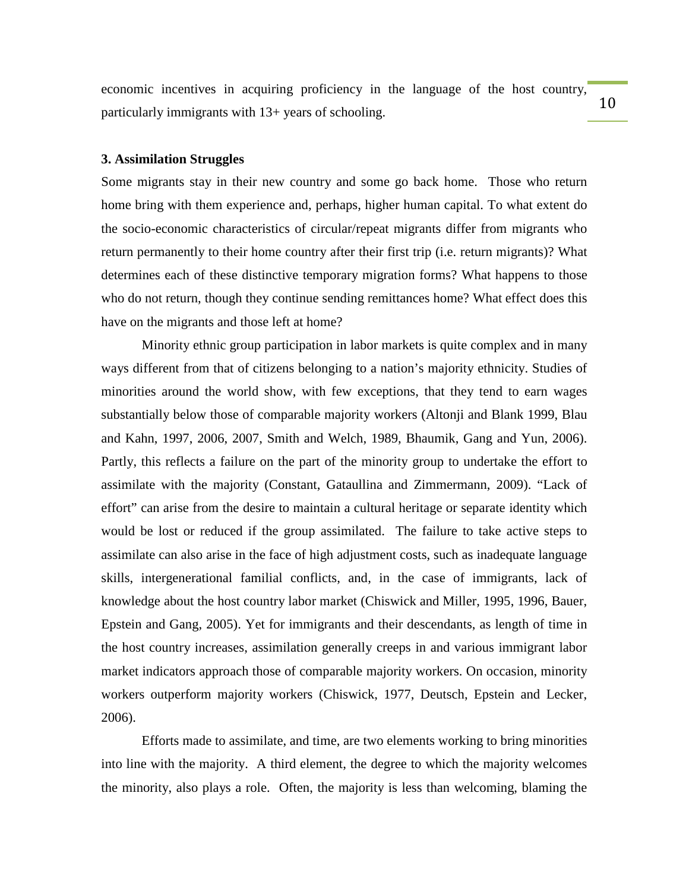10 economic incentives in acquiring proficiency in the language of the host country, particularly immigrants with 13+ years of schooling.

#### **3. Assimilation Struggles**

Some migrants stay in their new country and some go back home. Those who return home bring with them experience and, perhaps, higher human capital. To what extent do the socio-economic characteristics of circular/repeat migrants differ from migrants who return permanently to their home country after their first trip (i.e. return migrants)? What determines each of these distinctive temporary migration forms? What happens to those who do not return, though they continue sending remittances home? What effect does this have on the migrants and those left at home?

Minority ethnic group participation in labor markets is quite complex and in many ways different from that of citizens belonging to a nation's majority ethnicity. Studies of minorities around the world show, with few exceptions, that they tend to earn wages substantially below those of comparable majority workers (Altonji and Blank 1999, Blau and Kahn, 1997, 2006, 2007, Smith and Welch, 1989, Bhaumik, Gang and Yun, 2006). Partly, this reflects a failure on the part of the minority group to undertake the effort to assimilate with the majority (Constant, Gataullina and Zimmermann, 2009). "Lack of effort" can arise from the desire to maintain a cultural heritage or separate identity which would be lost or reduced if the group assimilated. The failure to take active steps to assimilate can also arise in the face of high adjustment costs, such as inadequate language skills, intergenerational familial conflicts, and, in the case of immigrants, lack of knowledge about the host country labor market (Chiswick and Miller, 1995, 1996, Bauer, Epstein and Gang, 2005). Yet for immigrants and their descendants, as length of time in the host country increases, assimilation generally creeps in and various immigrant labor market indicators approach those of comparable majority workers. On occasion, minority workers outperform majority workers (Chiswick, 1977, Deutsch, Epstein and Lecker, 2006).

Efforts made to assimilate, and time, are two elements working to bring minorities into line with the majority. A third element, the degree to which the majority welcomes the minority, also plays a role. Often, the majority is less than welcoming, blaming the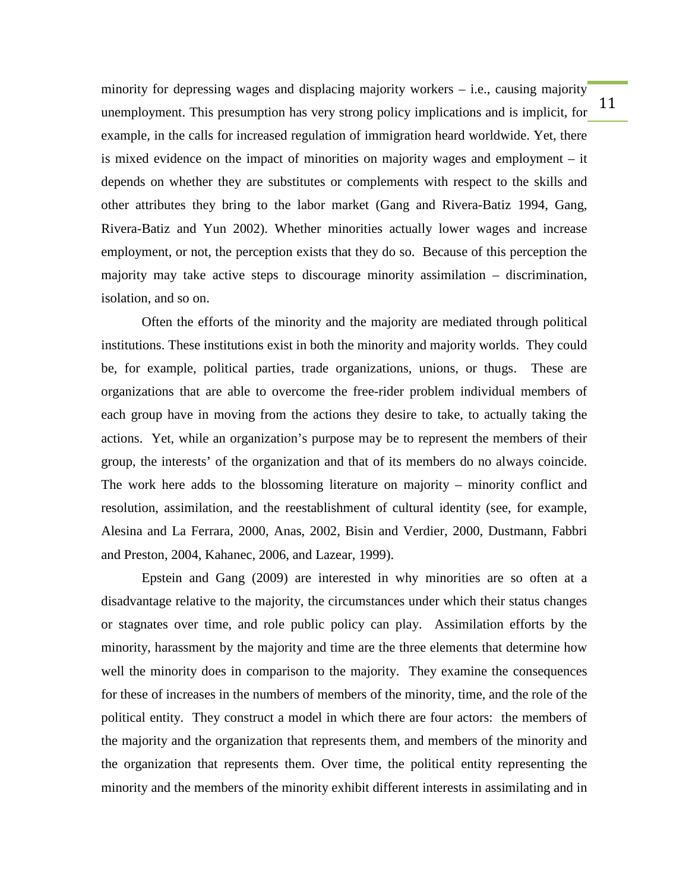minority for depressing wages and displacing majority workers  $-$  i.e., causing majority unemployment. This presumption has very strong policy implications and is implicit, for example, in the calls for increased regulation of immigration heard worldwide. Yet, there is mixed evidence on the impact of minorities on majority wages and employment – it depends on whether they are substitutes or complements with respect to the skills and other attributes they bring to the labor market (Gang and Rivera-Batiz 1994, Gang, Rivera-Batiz and Yun 2002). Whether minorities actually lower wages and increase employment, or not, the perception exists that they do so. Because of this perception the majority may take active steps to discourage minority assimilation – discrimination, isolation, and so on.

Often the efforts of the minority and the majority are mediated through political institutions. These institutions exist in both the minority and majority worlds. They could be, for example, political parties, trade organizations, unions, or thugs. These are organizations that are able to overcome the free-rider problem individual members of each group have in moving from the actions they desire to take, to actually taking the actions. Yet, while an organization's purpose may be to represent the members of their group, the interests' of the organization and that of its members do no always coincide. The work here adds to the blossoming literature on majority – minority conflict and resolution, assimilation, and the reestablishment of cultural identity (see, for example, Alesina and La Ferrara, 2000, Anas, 2002, Bisin and Verdier, 2000, Dustmann, Fabbri and Preston, 2004, Kahanec, 2006, and Lazear, 1999).

Epstein and Gang (2009) are interested in why minorities are so often at a disadvantage relative to the majority, the circumstances under which their status changes or stagnates over time, and role public policy can play. Assimilation efforts by the minority, harassment by the majority and time are the three elements that determine how well the minority does in comparison to the majority. They examine the consequences for these of increases in the numbers of members of the minority, time, and the role of the political entity. They construct a model in which there are four actors: the members of the majority and the organization that represents them, and members of the minority and the organization that represents them. Over time, the political entity representing the minority and the members of the minority exhibit different interests in assimilating and in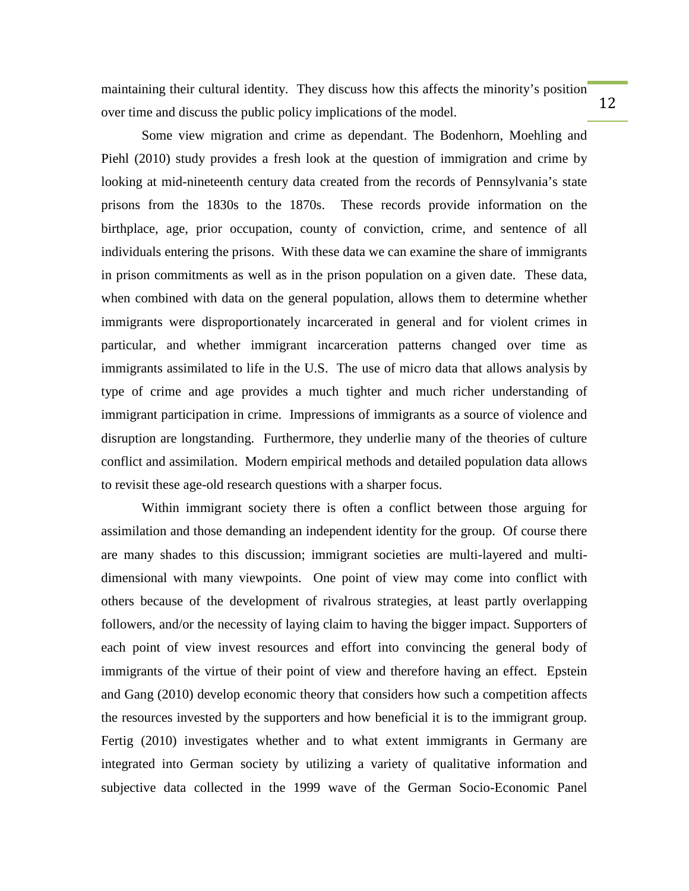maintaining their cultural identity. They discuss how this affects the minority's position over time and discuss the public policy implications of the model.

Some view migration and crime as dependant. The Bodenhorn, Moehling and Piehl (2010) study provides a fresh look at the question of immigration and crime by looking at mid-nineteenth century data created from the records of Pennsylvania's state prisons from the 1830s to the 1870s. These records provide information on the birthplace, age, prior occupation, county of conviction, crime, and sentence of all individuals entering the prisons. With these data we can examine the share of immigrants in prison commitments as well as in the prison population on a given date. These data, when combined with data on the general population, allows them to determine whether immigrants were disproportionately incarcerated in general and for violent crimes in particular, and whether immigrant incarceration patterns changed over time as immigrants assimilated to life in the U.S. The use of micro data that allows analysis by type of crime and age provides a much tighter and much richer understanding of immigrant participation in crime. Impressions of immigrants as a source of violence and disruption are longstanding. Furthermore, they underlie many of the theories of culture conflict and assimilation. Modern empirical methods and detailed population data allows to revisit these age-old research questions with a sharper focus.

 Within immigrant society there is often a conflict between those arguing for assimilation and those demanding an independent identity for the group. Of course there are many shades to this discussion; immigrant societies are multi-layered and multidimensional with many viewpoints. One point of view may come into conflict with others because of the development of rivalrous strategies, at least partly overlapping followers, and/or the necessity of laying claim to having the bigger impact. Supporters of each point of view invest resources and effort into convincing the general body of immigrants of the virtue of their point of view and therefore having an effect. Epstein and Gang (2010) develop economic theory that considers how such a competition affects the resources invested by the supporters and how beneficial it is to the immigrant group. Fertig (2010) investigates whether and to what extent immigrants in Germany are integrated into German society by utilizing a variety of qualitative information and subjective data collected in the 1999 wave of the German Socio-Economic Panel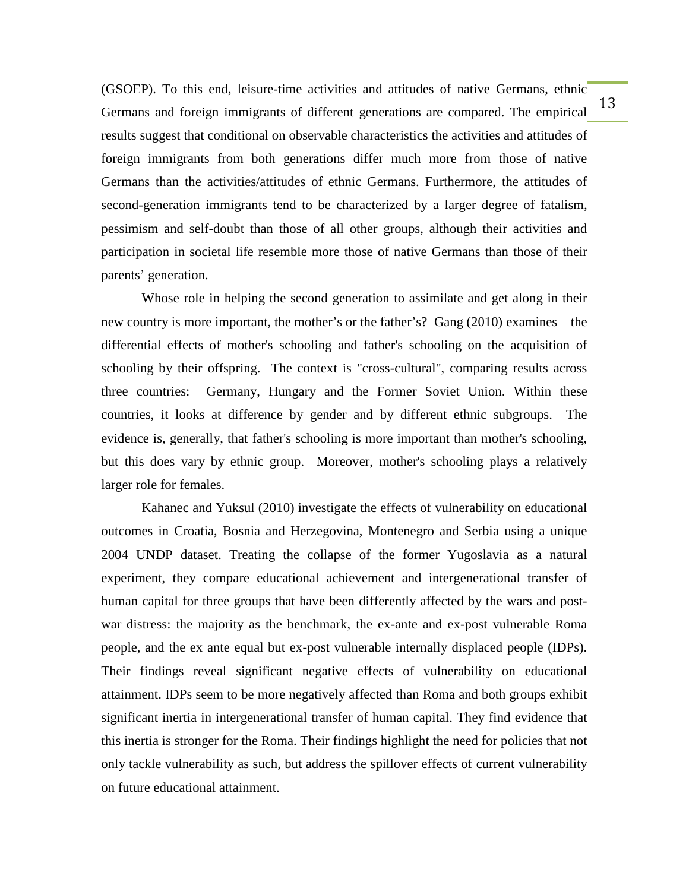(GSOEP). To this end, leisure-time activities and attitudes of native Germans, ethnic Germans and foreign immigrants of different generations are compared. The empirical results suggest that conditional on observable characteristics the activities and attitudes of foreign immigrants from both generations differ much more from those of native Germans than the activities/attitudes of ethnic Germans. Furthermore, the attitudes of second-generation immigrants tend to be characterized by a larger degree of fatalism, pessimism and self-doubt than those of all other groups, although their activities and participation in societal life resemble more those of native Germans than those of their parents' generation.

 Whose role in helping the second generation to assimilate and get along in their new country is more important, the mother's or the father's? Gang (2010) examines the differential effects of mother's schooling and father's schooling on the acquisition of schooling by their offspring. The context is "cross-cultural", comparing results across three countries: Germany, Hungary and the Former Soviet Union. Within these countries, it looks at difference by gender and by different ethnic subgroups. The evidence is, generally, that father's schooling is more important than mother's schooling, but this does vary by ethnic group. Moreover, mother's schooling plays a relatively larger role for females.

 Kahanec and Yuksul (2010) investigate the effects of vulnerability on educational outcomes in Croatia, Bosnia and Herzegovina, Montenegro and Serbia using a unique 2004 UNDP dataset. Treating the collapse of the former Yugoslavia as a natural experiment, they compare educational achievement and intergenerational transfer of human capital for three groups that have been differently affected by the wars and postwar distress: the majority as the benchmark, the ex-ante and ex-post vulnerable Roma people, and the ex ante equal but ex-post vulnerable internally displaced people (IDPs). Their findings reveal significant negative effects of vulnerability on educational attainment. IDPs seem to be more negatively affected than Roma and both groups exhibit significant inertia in intergenerational transfer of human capital. They find evidence that this inertia is stronger for the Roma. Their findings highlight the need for policies that not only tackle vulnerability as such, but address the spillover effects of current vulnerability on future educational attainment.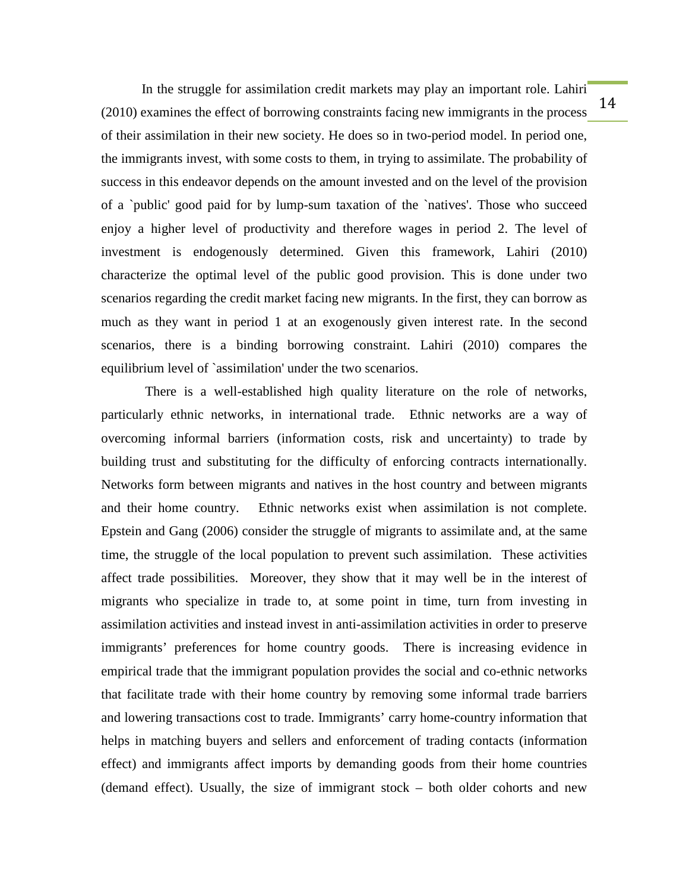In the struggle for assimilation credit markets may play an important role. Lahiri (2010) examines the effect of borrowing constraints facing new immigrants in the process of their assimilation in their new society. He does so in two-period model. In period one, the immigrants invest, with some costs to them, in trying to assimilate. The probability of success in this endeavor depends on the amount invested and on the level of the provision of a `public' good paid for by lump-sum taxation of the `natives'. Those who succeed enjoy a higher level of productivity and therefore wages in period 2. The level of investment is endogenously determined. Given this framework, Lahiri (2010) characterize the optimal level of the public good provision. This is done under two scenarios regarding the credit market facing new migrants. In the first, they can borrow as much as they want in period 1 at an exogenously given interest rate. In the second scenarios, there is a binding borrowing constraint. Lahiri (2010) compares the equilibrium level of `assimilation' under the two scenarios.

 There is a well-established high quality literature on the role of networks, particularly ethnic networks, in international trade. Ethnic networks are a way of overcoming informal barriers (information costs, risk and uncertainty) to trade by building trust and substituting for the difficulty of enforcing contracts internationally. Networks form between migrants and natives in the host country and between migrants and their home country. Ethnic networks exist when assimilation is not complete. Epstein and Gang (2006) consider the struggle of migrants to assimilate and, at the same time, the struggle of the local population to prevent such assimilation. These activities affect trade possibilities. Moreover, they show that it may well be in the interest of migrants who specialize in trade to, at some point in time, turn from investing in assimilation activities and instead invest in anti-assimilation activities in order to preserve immigrants' preferences for home country goods. There is increasing evidence in empirical trade that the immigrant population provides the social and co-ethnic networks that facilitate trade with their home country by removing some informal trade barriers and lowering transactions cost to trade. Immigrants' carry home-country information that helps in matching buyers and sellers and enforcement of trading contacts (information effect) and immigrants affect imports by demanding goods from their home countries (demand effect). Usually, the size of immigrant stock – both older cohorts and new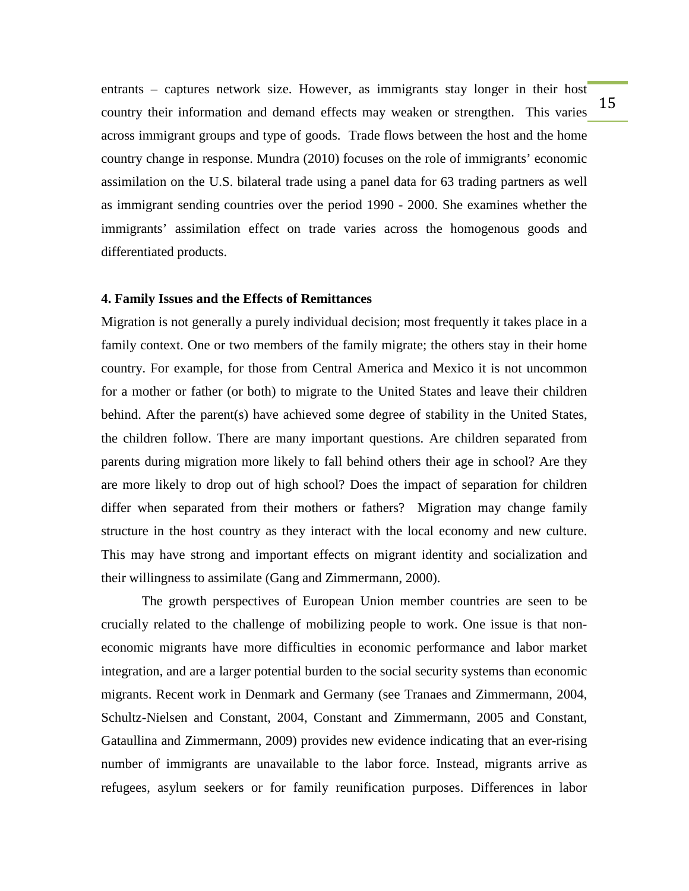entrants – captures network size. However, as immigrants stay longer in their host country their information and demand effects may weaken or strengthen. This varies across immigrant groups and type of goods. Trade flows between the host and the home country change in response. Mundra (2010) focuses on the role of immigrants' economic assimilation on the U.S. bilateral trade using a panel data for 63 trading partners as well as immigrant sending countries over the period 1990 - 2000. She examines whether the immigrants' assimilation effect on trade varies across the homogenous goods and differentiated products.

#### **4. Family Issues and the Effects of Remittances**

Migration is not generally a purely individual decision; most frequently it takes place in a family context. One or two members of the family migrate; the others stay in their home country. For example, for those from Central America and Mexico it is not uncommon for a mother or father (or both) to migrate to the United States and leave their children behind. After the parent(s) have achieved some degree of stability in the United States, the children follow. There are many important questions. Are children separated from parents during migration more likely to fall behind others their age in school? Are they are more likely to drop out of high school? Does the impact of separation for children differ when separated from their mothers or fathers? Migration may change family structure in the host country as they interact with the local economy and new culture. This may have strong and important effects on migrant identity and socialization and their willingness to assimilate (Gang and Zimmermann, 2000).

The growth perspectives of European Union member countries are seen to be crucially related to the challenge of mobilizing people to work. One issue is that noneconomic migrants have more difficulties in economic performance and labor market integration, and are a larger potential burden to the social security systems than economic migrants. Recent work in Denmark and Germany (see Tranaes and Zimmermann, 2004, Schultz-Nielsen and Constant, 2004, Constant and Zimmermann, 2005 and Constant, Gataullina and Zimmermann, 2009) provides new evidence indicating that an ever-rising number of immigrants are unavailable to the labor force. Instead, migrants arrive as refugees, asylum seekers or for family reunification purposes. Differences in labor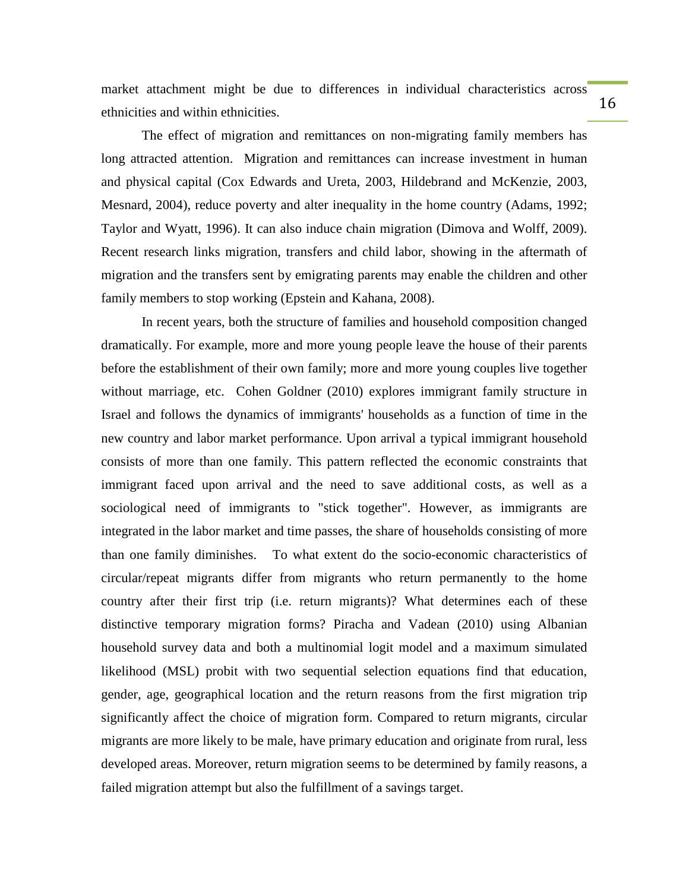market attachment might be due to differences in individual characteristics across ethnicities and within ethnicities.

 The effect of migration and remittances on non-migrating family members has long attracted attention. Migration and remittances can increase investment in human and physical capital (Cox Edwards and Ureta, 2003, Hildebrand and McKenzie, 2003, Mesnard, 2004), reduce poverty and alter inequality in the home country (Adams, 1992; Taylor and Wyatt, 1996). It can also induce chain migration (Dimova and Wolff, 2009). Recent research links migration, transfers and child labor, showing in the aftermath of migration and the transfers sent by emigrating parents may enable the children and other family members to stop working (Epstein and Kahana, 2008).

In recent years, both the structure of families and household composition changed dramatically. For example, more and more young people leave the house of their parents before the establishment of their own family; more and more young couples live together without marriage, etc. Cohen Goldner (2010) explores immigrant family structure in Israel and follows the dynamics of immigrants' households as a function of time in the new country and labor market performance. Upon arrival a typical immigrant household consists of more than one family. This pattern reflected the economic constraints that immigrant faced upon arrival and the need to save additional costs, as well as a sociological need of immigrants to "stick together". However, as immigrants are integrated in the labor market and time passes, the share of households consisting of more than one family diminishes. To what extent do the socio-economic characteristics of circular/repeat migrants differ from migrants who return permanently to the home country after their first trip (i.e. return migrants)? What determines each of these distinctive temporary migration forms? Piracha and Vadean (2010) using Albanian household survey data and both a multinomial logit model and a maximum simulated likelihood (MSL) probit with two sequential selection equations find that education, gender, age, geographical location and the return reasons from the first migration trip significantly affect the choice of migration form. Compared to return migrants, circular migrants are more likely to be male, have primary education and originate from rural, less developed areas. Moreover, return migration seems to be determined by family reasons, a failed migration attempt but also the fulfillment of a savings target.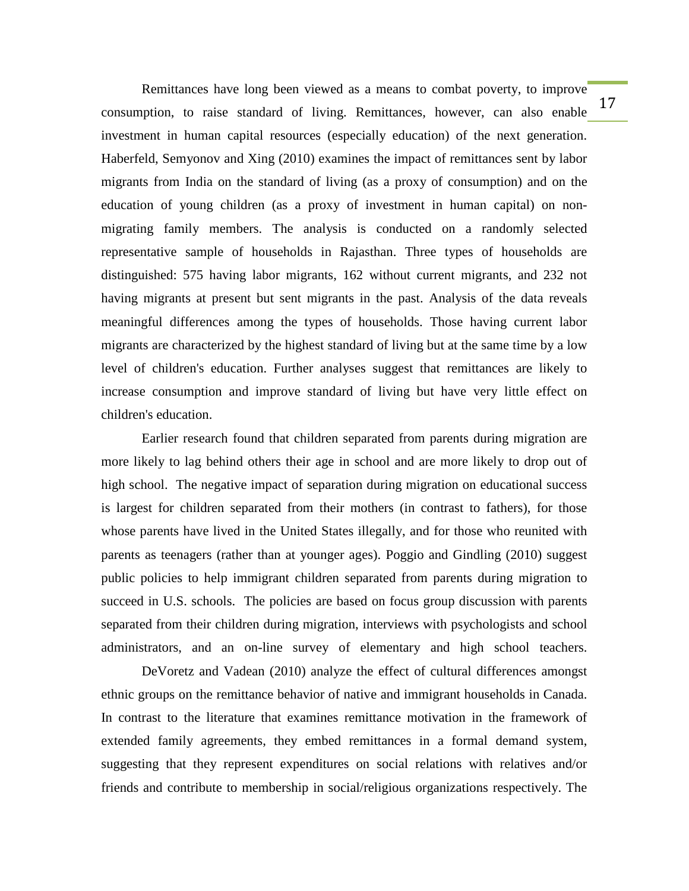Remittances have long been viewed as a means to combat poverty, to improve consumption, to raise standard of living. Remittances, however, can also enable investment in human capital resources (especially education) of the next generation. Haberfeld, Semyonov and Xing (2010) examines the impact of remittances sent by labor migrants from India on the standard of living (as a proxy of consumption) and on the education of young children (as a proxy of investment in human capital) on nonmigrating family members. The analysis is conducted on a randomly selected representative sample of households in Rajasthan. Three types of households are distinguished: 575 having labor migrants, 162 without current migrants, and 232 not having migrants at present but sent migrants in the past. Analysis of the data reveals meaningful differences among the types of households. Those having current labor migrants are characterized by the highest standard of living but at the same time by a low level of children's education. Further analyses suggest that remittances are likely to increase consumption and improve standard of living but have very little effect on children's education.

Earlier research found that children separated from parents during migration are more likely to lag behind others their age in school and are more likely to drop out of high school. The negative impact of separation during migration on educational success is largest for children separated from their mothers (in contrast to fathers), for those whose parents have lived in the United States illegally, and for those who reunited with parents as teenagers (rather than at younger ages). Poggio and Gindling (2010) suggest public policies to help immigrant children separated from parents during migration to succeed in U.S. schools. The policies are based on focus group discussion with parents separated from their children during migration, interviews with psychologists and school administrators, and an on-line survey of elementary and high school teachers.

 DeVoretz and Vadean (2010) analyze the effect of cultural differences amongst ethnic groups on the remittance behavior of native and immigrant households in Canada. In contrast to the literature that examines remittance motivation in the framework of extended family agreements, they embed remittances in a formal demand system, suggesting that they represent expenditures on social relations with relatives and/or friends and contribute to membership in social/religious organizations respectively. The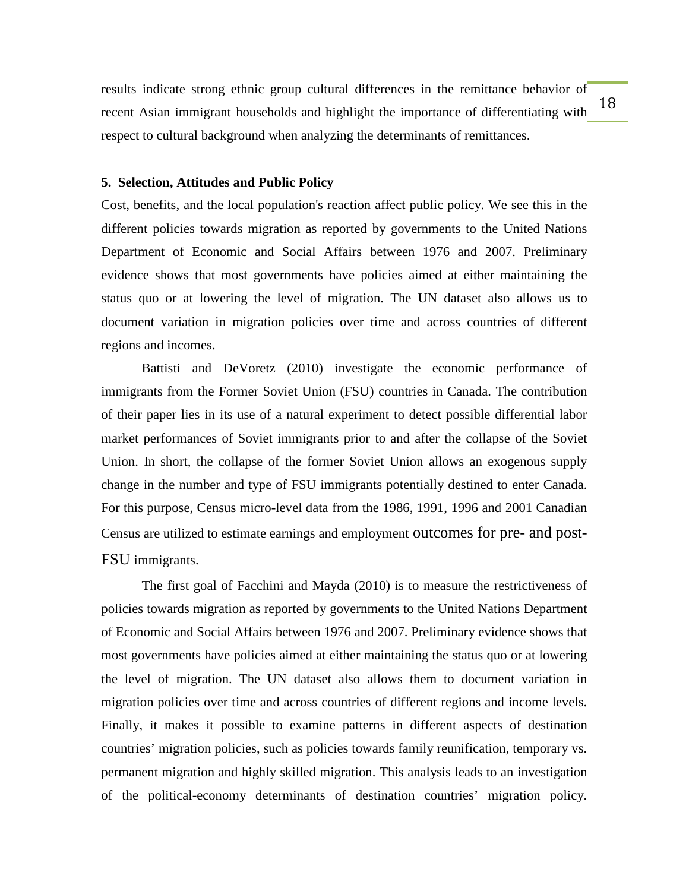results indicate strong ethnic group cultural differences in the remittance behavior of recent Asian immigrant households and highlight the importance of differentiating with respect to cultural background when analyzing the determinants of remittances.

#### **5. Selection, Attitudes and Public Policy**

Cost, benefits, and the local population's reaction affect public policy. We see this in the different policies towards migration as reported by governments to the United Nations Department of Economic and Social Affairs between 1976 and 2007. Preliminary evidence shows that most governments have policies aimed at either maintaining the status quo or at lowering the level of migration. The UN dataset also allows us to document variation in migration policies over time and across countries of different regions and incomes.

Battisti and DeVoretz (2010) investigate the economic performance of immigrants from the Former Soviet Union (FSU) countries in Canada. The contribution of their paper lies in its use of a natural experiment to detect possible differential labor market performances of Soviet immigrants prior to and after the collapse of the Soviet Union. In short, the collapse of the former Soviet Union allows an exogenous supply change in the number and type of FSU immigrants potentially destined to enter Canada. For this purpose, Census micro-level data from the 1986, 1991, 1996 and 2001 Canadian Census are utilized to estimate earnings and employment outcomes for pre- and post-FSU immigrants.

The first goal of Facchini and Mayda (2010) is to measure the restrictiveness of policies towards migration as reported by governments to the United Nations Department of Economic and Social Affairs between 1976 and 2007. Preliminary evidence shows that most governments have policies aimed at either maintaining the status quo or at lowering the level of migration. The UN dataset also allows them to document variation in migration policies over time and across countries of different regions and income levels. Finally, it makes it possible to examine patterns in different aspects of destination countries' migration policies, such as policies towards family reunification, temporary vs. permanent migration and highly skilled migration. This analysis leads to an investigation of the political-economy determinants of destination countries' migration policy.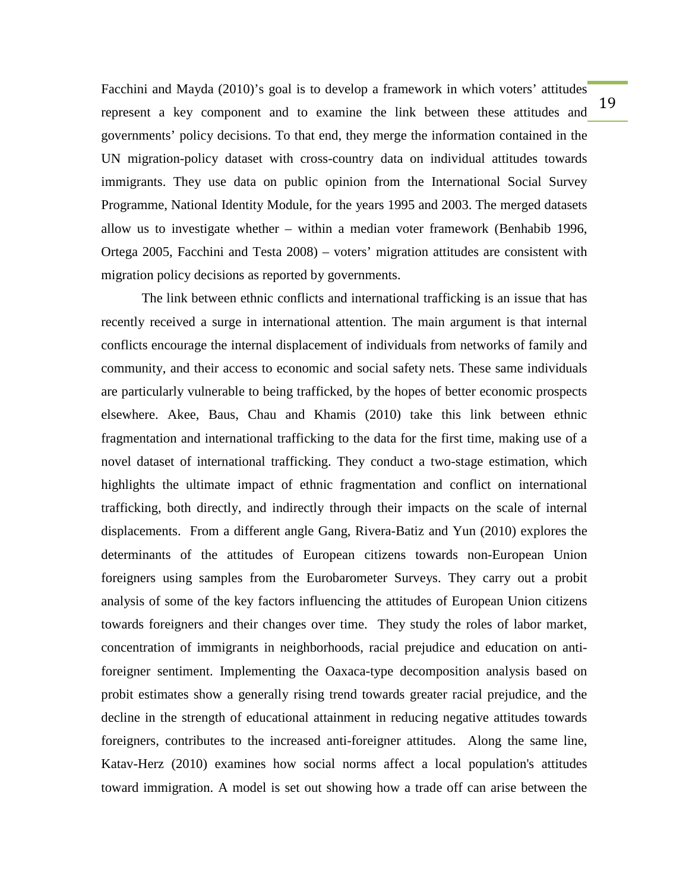Facchini and Mayda (2010)'s goal is to develop a framework in which voters' attitudes represent a key component and to examine the link between these attitudes and governments' policy decisions. To that end, they merge the information contained in the UN migration-policy dataset with cross-country data on individual attitudes towards immigrants. They use data on public opinion from the International Social Survey Programme, National Identity Module, for the years 1995 and 2003. The merged datasets allow us to investigate whether – within a median voter framework (Benhabib 1996, Ortega 2005, Facchini and Testa 2008) – voters' migration attitudes are consistent with migration policy decisions as reported by governments.

The link between ethnic conflicts and international trafficking is an issue that has recently received a surge in international attention. The main argument is that internal conflicts encourage the internal displacement of individuals from networks of family and community, and their access to economic and social safety nets. These same individuals are particularly vulnerable to being trafficked, by the hopes of better economic prospects elsewhere. Akee, Baus, Chau and Khamis (2010) take this link between ethnic fragmentation and international trafficking to the data for the first time, making use of a novel dataset of international trafficking. They conduct a two-stage estimation, which highlights the ultimate impact of ethnic fragmentation and conflict on international trafficking, both directly, and indirectly through their impacts on the scale of internal displacements. From a different angle Gang, Rivera-Batiz and Yun (2010) explores the determinants of the attitudes of European citizens towards non-European Union foreigners using samples from the Eurobarometer Surveys. They carry out a probit analysis of some of the key factors influencing the attitudes of European Union citizens towards foreigners and their changes over time. They study the roles of labor market, concentration of immigrants in neighborhoods, racial prejudice and education on antiforeigner sentiment. Implementing the Oaxaca-type decomposition analysis based on probit estimates show a generally rising trend towards greater racial prejudice, and the decline in the strength of educational attainment in reducing negative attitudes towards foreigners, contributes to the increased anti-foreigner attitudes. Along the same line, Katav-Herz (2010) examines how social norms affect a local population's attitudes toward immigration. A model is set out showing how a trade off can arise between the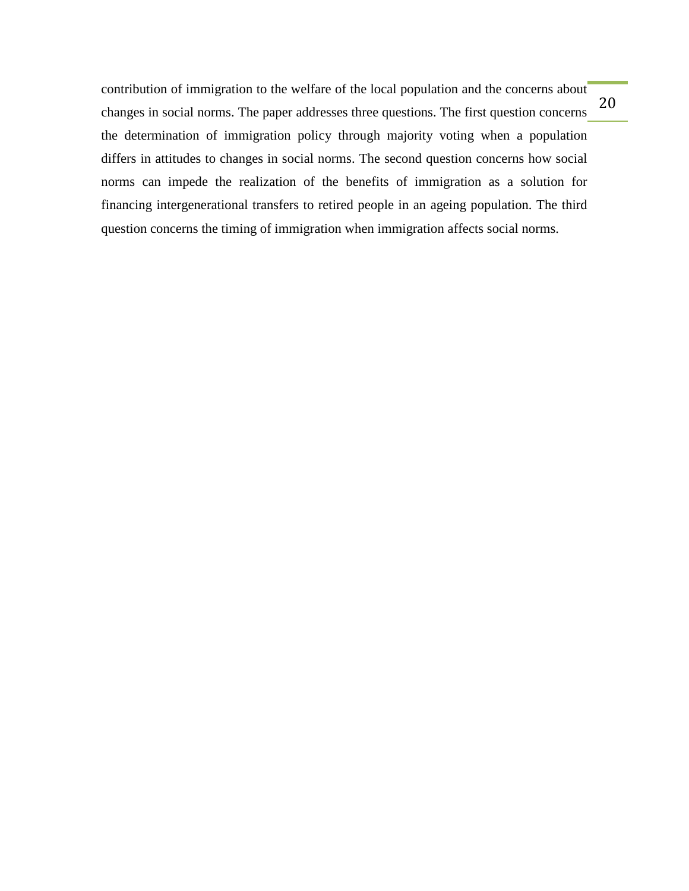contribution of immigration to the welfare of the local population and the concerns about changes in social norms. The paper addresses three questions. The first question concerns the determination of immigration policy through majority voting when a population differs in attitudes to changes in social norms. The second question concerns how social norms can impede the realization of the benefits of immigration as a solution for financing intergenerational transfers to retired people in an ageing population. The third question concerns the timing of immigration when immigration affects social norms.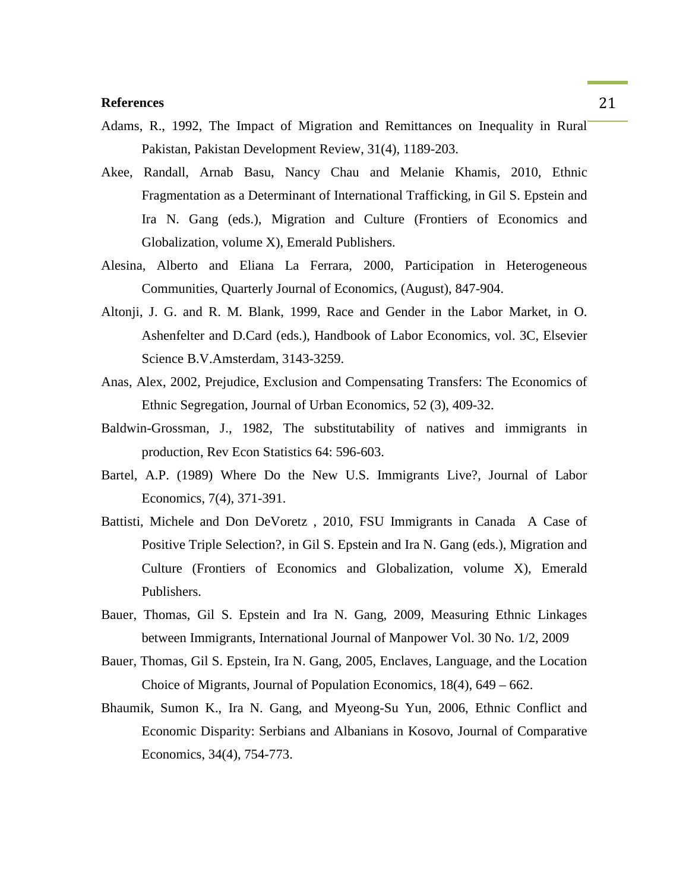### **References** 21

- Adams, R., 1992, The Impact of Migration and Remittances on Inequality in Rural Pakistan, Pakistan Development Review, 31(4), 1189-203.
- Akee, Randall, Arnab Basu, Nancy Chau and Melanie Khamis, 2010, Ethnic Fragmentation as a Determinant of International Trafficking, in Gil S. Epstein and Ira N. Gang (eds.), Migration and Culture (Frontiers of Economics and Globalization, volume X), Emerald Publishers.
- Alesina, Alberto and Eliana La Ferrara, 2000, Participation in Heterogeneous Communities, Quarterly Journal of Economics, (August), 847-904.
- Altonji, J. G. and R. M. Blank, 1999, Race and Gender in the Labor Market, in O. Ashenfelter and D.Card (eds.), Handbook of Labor Economics, vol. 3C, Elsevier Science B.V.Amsterdam, 3143-3259.
- Anas, Alex, 2002, Prejudice, Exclusion and Compensating Transfers: The Economics of Ethnic Segregation, Journal of Urban Economics, 52 (3), 409-32.
- Baldwin-Grossman, J., 1982, The substitutability of natives and immigrants in production, Rev Econ Statistics 64: 596-603.
- Bartel, A.P. (1989) Where Do the New U.S. Immigrants Live?, Journal of Labor Economics, 7(4), 371-391.
- Battisti, Michele and Don DeVoretz , 2010, FSU Immigrants in Canada A Case of Positive Triple Selection?, in Gil S. Epstein and Ira N. Gang (eds.), Migration and Culture (Frontiers of Economics and Globalization, volume X), Emerald Publishers.
- Bauer, Thomas, Gil S. Epstein and Ira N. Gang, 2009, Measuring Ethnic Linkages between Immigrants, International Journal of Manpower Vol. 30 No. 1/2, 2009
- Bauer, Thomas, Gil S. Epstein, Ira N. Gang, 2005, Enclaves, Language, and the Location Choice of Migrants, Journal of Population Economics, 18(4), 649 – 662.
- Bhaumik, Sumon K., Ira N. Gang, and Myeong-Su Yun, 2006, Ethnic Conflict and Economic Disparity: Serbians and Albanians in Kosovo, Journal of Comparative Economics, 34(4), 754-773.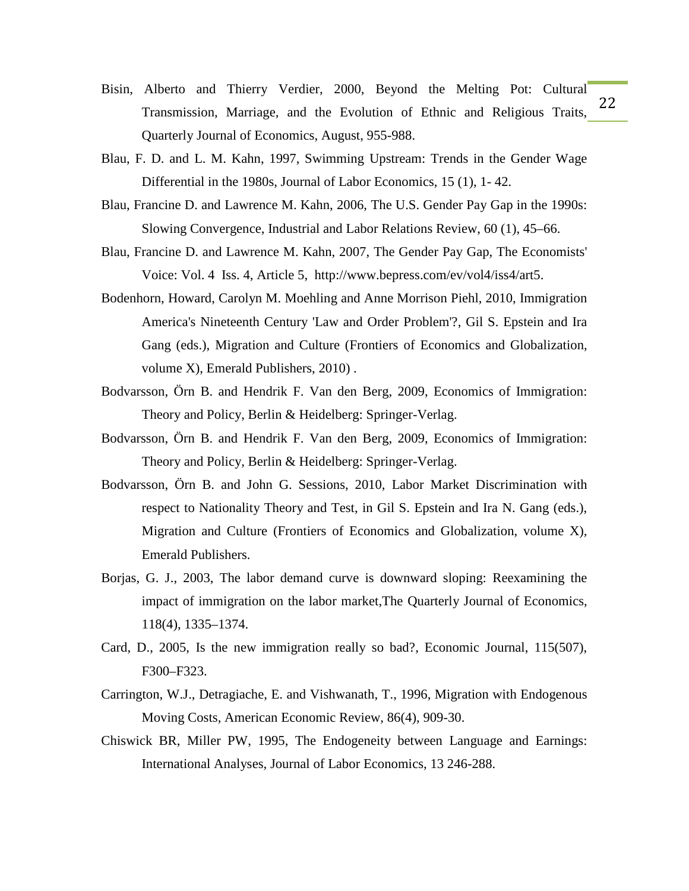- 22 Bisin, Alberto and Thierry Verdier, 2000, Beyond the Melting Pot: Cultural Transmission, Marriage, and the Evolution of Ethnic and Religious Traits, Quarterly Journal of Economics, August, 955-988.
- Blau, F. D. and L. M. Kahn, 1997, Swimming Upstream: Trends in the Gender Wage Differential in the 1980s, Journal of Labor Economics, 15 (1), 1- 42.
- Blau, Francine D. and Lawrence M. Kahn, 2006, The U.S. Gender Pay Gap in the 1990s: Slowing Convergence, Industrial and Labor Relations Review, 60 (1), 45–66.
- Blau, Francine D. and Lawrence M. Kahn, 2007, The Gender Pay Gap, The Economists' Voice: Vol. 4 Iss. 4, Article 5, http://www.bepress.com/ev/vol4/iss4/art5.
- Bodenhorn, Howard, Carolyn M. Moehling and Anne Morrison Piehl, 2010, Immigration America's Nineteenth Century 'Law and Order Problem'?, Gil S. Epstein and Ira Gang (eds.), Migration and Culture (Frontiers of Economics and Globalization, volume X), Emerald Publishers, 2010) .
- Bodvarsson, Örn B. and Hendrik F. Van den Berg, 2009, Economics of Immigration: Theory and Policy, Berlin & Heidelberg: Springer-Verlag.
- Bodvarsson, Örn B. and Hendrik F. Van den Berg, 2009, Economics of Immigration: Theory and Policy, Berlin & Heidelberg: Springer-Verlag.
- Bodvarsson, Örn B. and John G. Sessions, 2010, Labor Market Discrimination with respect to Nationality Theory and Test, in Gil S. Epstein and Ira N. Gang (eds.), Migration and Culture (Frontiers of Economics and Globalization, volume X), Emerald Publishers.
- Borjas, G. J., 2003, The labor demand curve is downward sloping: Reexamining the impact of immigration on the labor market,The Quarterly Journal of Economics, 118(4), 1335–1374.
- Card, D., 2005, Is the new immigration really so bad?, Economic Journal, 115(507), F300–F323.
- Carrington, W.J., Detragiache, E. and Vishwanath, T., 1996, Migration with Endogenous Moving Costs, American Economic Review, 86(4), 909-30.
- Chiswick BR, Miller PW, 1995, The Endogeneity between Language and Earnings: International Analyses, Journal of Labor Economics, 13 246-288.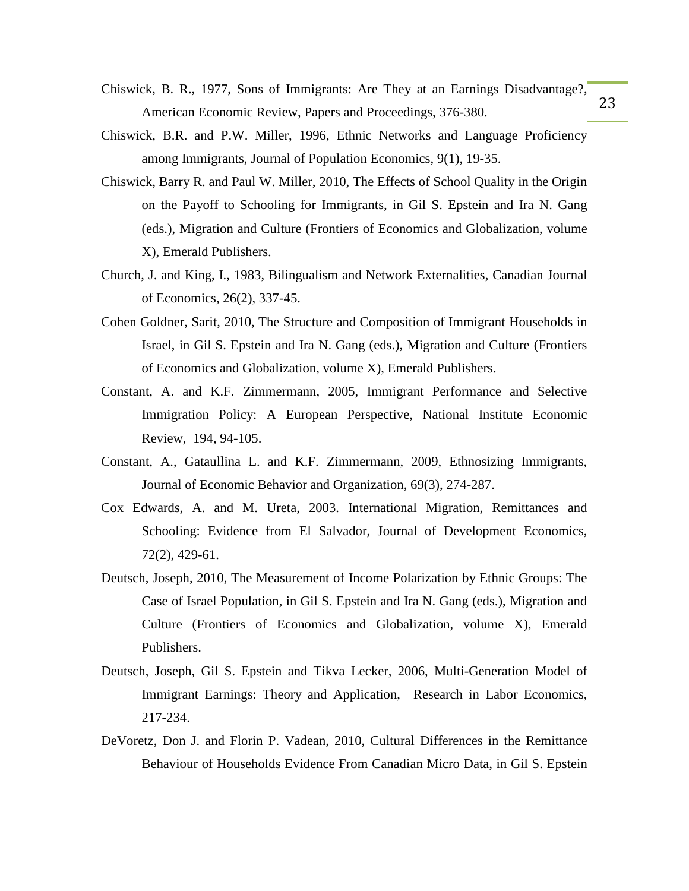- Chiswick, B. R., 1977, Sons of Immigrants: Are They at an Earnings Disadvantage?, American Economic Review, Papers and Proceedings, 376-380.
- Chiswick, B.R. and P.W. Miller, 1996, Ethnic Networks and Language Proficiency among Immigrants, Journal of Population Economics, 9(1), 19-35.
- Chiswick, Barry R. and Paul W. Miller, 2010, The Effects of School Quality in the Origin on the Payoff to Schooling for Immigrants, in Gil S. Epstein and Ira N. Gang (eds.), Migration and Culture (Frontiers of Economics and Globalization, volume X), Emerald Publishers.
- Church, J. and King, I., 1983, Bilingualism and Network Externalities, Canadian Journal of Economics, 26(2), 337-45.
- Cohen Goldner, Sarit, 2010, The Structure and Composition of Immigrant Households in Israel, in Gil S. Epstein and Ira N. Gang (eds.), Migration and Culture (Frontiers of Economics and Globalization, volume X), Emerald Publishers.
- Constant, A. and K.F. Zimmermann, 2005, Immigrant Performance and Selective Immigration Policy: A European Perspective, National Institute Economic Review, 194, 94-105.
- Constant, A., Gataullina L. and K.F. Zimmermann, 2009, Ethnosizing Immigrants, Journal of Economic Behavior and Organization, 69(3), 274-287.
- Cox Edwards, A. and M. Ureta, 2003. International Migration, Remittances and Schooling: Evidence from El Salvador, Journal of Development Economics, 72(2), 429-61.
- Deutsch, Joseph, 2010, The Measurement of Income Polarization by Ethnic Groups: The Case of Israel Population, in Gil S. Epstein and Ira N. Gang (eds.), Migration and Culture (Frontiers of Economics and Globalization, volume X), Emerald Publishers.
- Deutsch, Joseph, Gil S. Epstein and Tikva Lecker, 2006, Multi-Generation Model of Immigrant Earnings: Theory and Application, Research in Labor Economics, 217-234.
- DeVoretz, Don J. and Florin P. Vadean, 2010, Cultural Differences in the Remittance Behaviour of Households Evidence From Canadian Micro Data, in Gil S. Epstein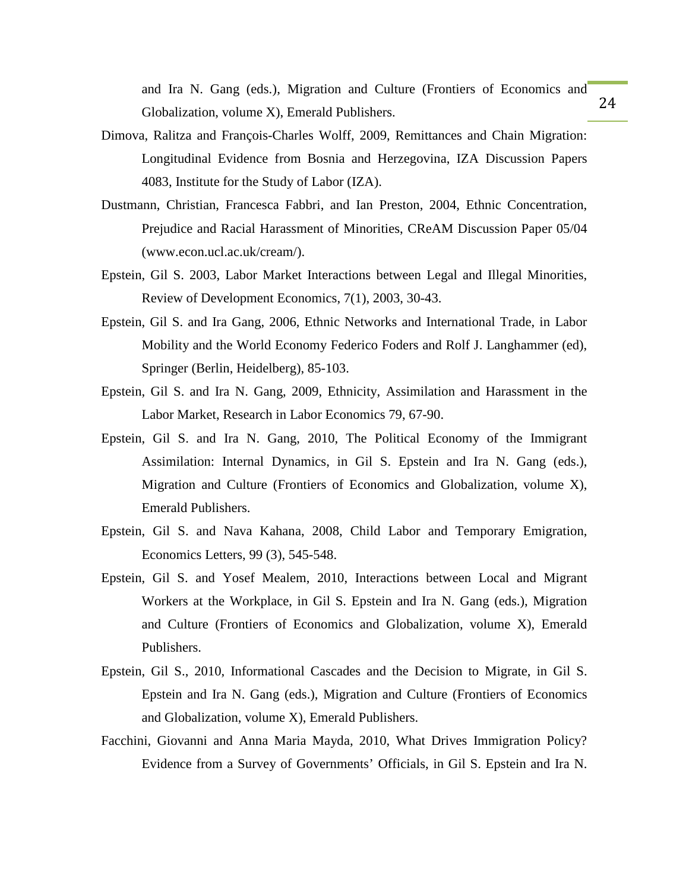and Ira N. Gang (eds.), Migration and Culture (Frontiers of Economics and Globalization, volume X), Emerald Publishers.

- Dimova, Ralitza and François-Charles Wolff, 2009, Remittances and Chain Migration: Longitudinal Evidence from Bosnia and Herzegovina, IZA Discussion Papers 4083, Institute for the Study of Labor (IZA).
- Dustmann, Christian, Francesca Fabbri, and Ian Preston, 2004, Ethnic Concentration, Prejudice and Racial Harassment of Minorities, CReAM Discussion Paper 05/04 (www.econ.ucl.ac.uk/cream/).
- Epstein, Gil S. 2003, Labor Market Interactions between Legal and Illegal Minorities, Review of Development Economics, 7(1), 2003, 30-43.
- Epstein, Gil S. and Ira Gang, 2006, Ethnic Networks and International Trade, in Labor Mobility and the World Economy Federico Foders and Rolf J. Langhammer (ed), Springer (Berlin, Heidelberg), 85-103.
- Epstein, Gil S. and Ira N. Gang, 2009, Ethnicity, Assimilation and Harassment in the Labor Market, Research in Labor Economics 79, 67-90.
- Epstein, Gil S. and Ira N. Gang, 2010, The Political Economy of the Immigrant Assimilation: Internal Dynamics, in Gil S. Epstein and Ira N. Gang (eds.), Migration and Culture (Frontiers of Economics and Globalization, volume X), Emerald Publishers.
- Epstein, Gil S. and Nava Kahana, 2008, Child Labor and Temporary Emigration, Economics Letters, 99 (3), 545-548.
- Epstein, Gil S. and Yosef Mealem, 2010, Interactions between Local and Migrant Workers at the Workplace, in Gil S. Epstein and Ira N. Gang (eds.), Migration and Culture (Frontiers of Economics and Globalization, volume X), Emerald Publishers.
- Epstein, Gil S., 2010, Informational Cascades and the Decision to Migrate, in Gil S. Epstein and Ira N. Gang (eds.), Migration and Culture (Frontiers of Economics and Globalization, volume X), Emerald Publishers.
- Facchini, Giovanni and Anna Maria Mayda, 2010, What Drives Immigration Policy? Evidence from a Survey of Governments' Officials, in Gil S. Epstein and Ira N.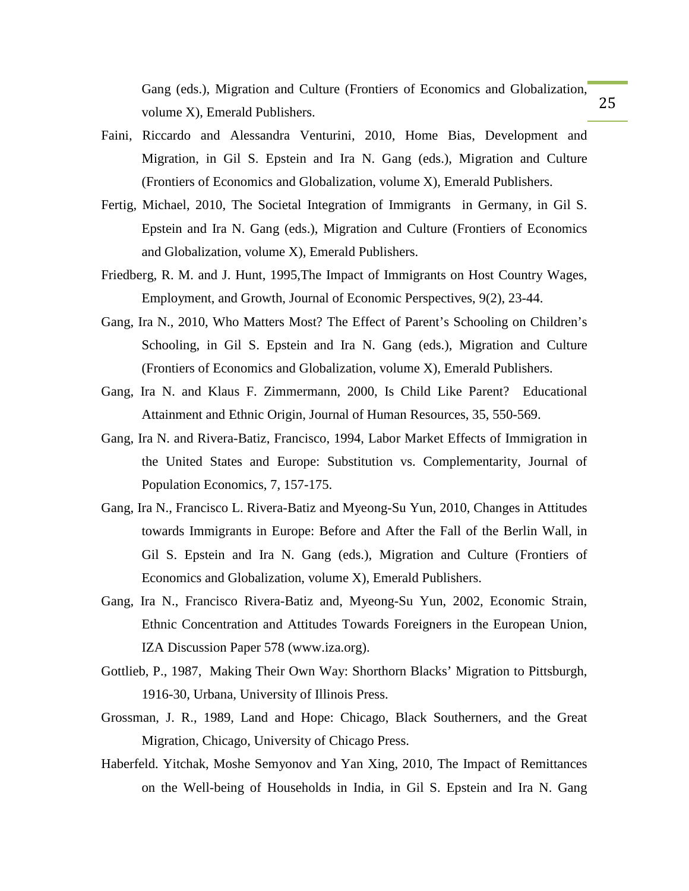Gang (eds.), Migration and Culture (Frontiers of Economics and Globalization, volume X), Emerald Publishers.

- Faini, Riccardo and Alessandra Venturini, 2010, Home Bias, Development and Migration, in Gil S. Epstein and Ira N. Gang (eds.), Migration and Culture (Frontiers of Economics and Globalization, volume X), Emerald Publishers.
- Fertig, Michael, 2010, The Societal Integration of Immigrants in Germany, in Gil S. Epstein and Ira N. Gang (eds.), Migration and Culture (Frontiers of Economics and Globalization, volume X), Emerald Publishers.
- Friedberg, R. M. and J. Hunt, 1995,The Impact of Immigrants on Host Country Wages, Employment, and Growth, Journal of Economic Perspectives, 9(2), 23-44.
- Gang, Ira N., 2010, Who Matters Most? The Effect of Parent's Schooling on Children's Schooling, in Gil S. Epstein and Ira N. Gang (eds.), Migration and Culture (Frontiers of Economics and Globalization, volume X), Emerald Publishers.
- Gang, Ira N. and Klaus F. Zimmermann, 2000, Is Child Like Parent? Educational Attainment and Ethnic Origin, Journal of Human Resources, 35, 550-569.
- Gang, Ira N. and Rivera-Batiz, Francisco, 1994, Labor Market Effects of Immigration in the United States and Europe: Substitution vs. Complementarity, Journal of Population Economics, 7, 157-175.
- Gang, Ira N., Francisco L. Rivera-Batiz and Myeong-Su Yun, 2010, Changes in Attitudes towards Immigrants in Europe: Before and After the Fall of the Berlin Wall, in Gil S. Epstein and Ira N. Gang (eds.), Migration and Culture (Frontiers of Economics and Globalization, volume X), Emerald Publishers.
- Gang, Ira N., Francisco Rivera-Batiz and, Myeong-Su Yun, 2002, Economic Strain, Ethnic Concentration and Attitudes Towards Foreigners in the European Union, IZA Discussion Paper 578 (www.iza.org).
- Gottlieb, P., 1987, Making Their Own Way: Shorthorn Blacks' Migration to Pittsburgh, 1916-30, Urbana, University of Illinois Press.
- Grossman, J. R., 1989, Land and Hope: Chicago, Black Southerners, and the Great Migration, Chicago, University of Chicago Press.
- Haberfeld. Yitchak, Moshe Semyonov and Yan Xing, 2010, The Impact of Remittances on the Well-being of Households in India, in Gil S. Epstein and Ira N. Gang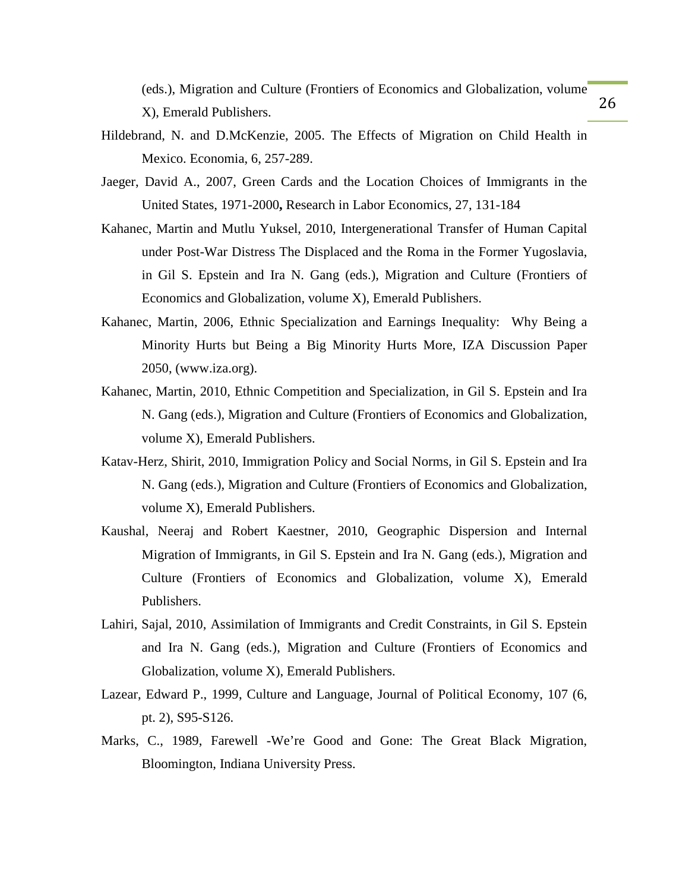(eds.), Migration and Culture (Frontiers of Economics and Globalization, volume X), Emerald Publishers.

- Hildebrand, N. and D.McKenzie, 2005. The Effects of Migration on Child Health in Mexico. Economia, 6, 257-289.
- Jaeger, David A., 2007, Green Cards and the Location Choices of Immigrants in the United States, 1971-2000**,** Research in Labor Economics, 27, 131-184
- Kahanec, Martin and Mutlu Yuksel, 2010, Intergenerational Transfer of Human Capital under Post-War Distress The Displaced and the Roma in the Former Yugoslavia, in Gil S. Epstein and Ira N. Gang (eds.), Migration and Culture (Frontiers of Economics and Globalization, volume X), Emerald Publishers.
- Kahanec, Martin, 2006, Ethnic Specialization and Earnings Inequality: Why Being a Minority Hurts but Being a Big Minority Hurts More, IZA Discussion Paper 2050, (www.iza.org).
- Kahanec, Martin, 2010, Ethnic Competition and Specialization, in Gil S. Epstein and Ira N. Gang (eds.), Migration and Culture (Frontiers of Economics and Globalization, volume X), Emerald Publishers.
- Katav-Herz, Shirit, 2010, Immigration Policy and Social Norms, in Gil S. Epstein and Ira N. Gang (eds.), Migration and Culture (Frontiers of Economics and Globalization, volume X), Emerald Publishers.
- Kaushal, Neeraj and Robert Kaestner, 2010, Geographic Dispersion and Internal Migration of Immigrants, in Gil S. Epstein and Ira N. Gang (eds.), Migration and Culture (Frontiers of Economics and Globalization, volume X), Emerald Publishers.
- Lahiri, Sajal, 2010, Assimilation of Immigrants and Credit Constraints, in Gil S. Epstein and Ira N. Gang (eds.), Migration and Culture (Frontiers of Economics and Globalization, volume X), Emerald Publishers.
- Lazear, Edward P., 1999, Culture and Language, Journal of Political Economy, 107 (6, pt. 2), S95-S126.
- Marks, C., 1989, Farewell -We're Good and Gone: The Great Black Migration, Bloomington, Indiana University Press.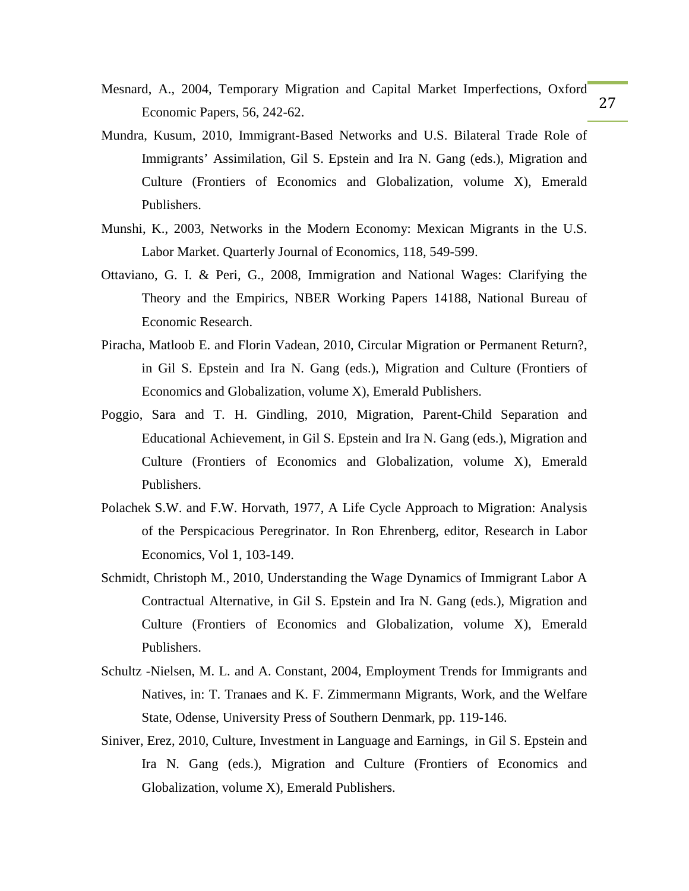- Mesnard, A., 2004, Temporary Migration and Capital Market Imperfections, Oxford Economic Papers, 56, 242-62.
- Mundra, Kusum, 2010, Immigrant-Based Networks and U.S. Bilateral Trade Role of Immigrants' Assimilation, Gil S. Epstein and Ira N. Gang (eds.), Migration and Culture (Frontiers of Economics and Globalization, volume X), Emerald Publishers.
- Munshi, K., 2003, Networks in the Modern Economy: Mexican Migrants in the U.S. Labor Market. Quarterly Journal of Economics, 118, 549-599.
- Ottaviano, G. I. & Peri, G., 2008, Immigration and National Wages: Clarifying the Theory and the Empirics, NBER Working Papers 14188, National Bureau of Economic Research.
- Piracha, Matloob E. and Florin Vadean, 2010, Circular Migration or Permanent Return?, in Gil S. Epstein and Ira N. Gang (eds.), Migration and Culture (Frontiers of Economics and Globalization, volume X), Emerald Publishers.
- Poggio, Sara and T. H. Gindling, 2010, Migration, Parent-Child Separation and Educational Achievement, in Gil S. Epstein and Ira N. Gang (eds.), Migration and Culture (Frontiers of Economics and Globalization, volume X), Emerald Publishers.
- Polachek S.W. and F.W. Horvath, 1977, A Life Cycle Approach to Migration: Analysis of the Perspicacious Peregrinator. In Ron Ehrenberg, editor, Research in Labor Economics, Vol 1, 103-149.
- Schmidt, Christoph M., 2010, Understanding the Wage Dynamics of Immigrant Labor A Contractual Alternative, in Gil S. Epstein and Ira N. Gang (eds.), Migration and Culture (Frontiers of Economics and Globalization, volume X), Emerald Publishers.
- Schultz -Nielsen, M. L. and A. Constant, 2004, Employment Trends for Immigrants and Natives, in: T. Tranaes and K. F. Zimmermann Migrants, Work, and the Welfare State, Odense, University Press of Southern Denmark, pp. 119-146.
- Siniver, Erez, 2010, Culture, Investment in Language and Earnings, in Gil S. Epstein and Ira N. Gang (eds.), Migration and Culture (Frontiers of Economics and Globalization, volume X), Emerald Publishers.